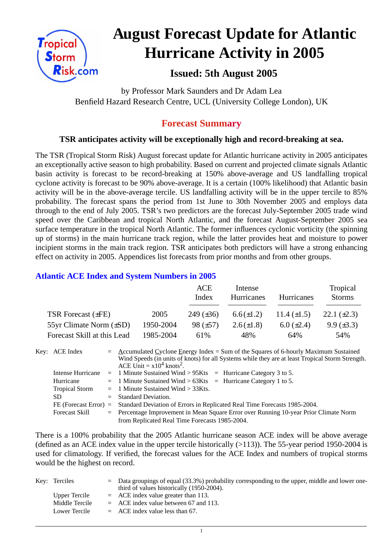

# **August Forecast Update for Atlantic Hurricane Activity in 2005**

# **Issued: 5th August 2005**

by Professor Mark Saunders and Dr Adam Lea Benfield Hazard Research Centre, UCL (University College London), UK

# **Forecast Summary**

## **TSR anticipates activity will be exceptionally high and record-breaking at sea.**

The TSR (Tropical Storm Risk) August forecast update for Atlantic hurricane activity in 2005 anticipates an exceptionally active season to high probability. Based on current and projected climate signals Atlantic basin activity is forecast to be record-breaking at 150% above-average and US landfalling tropical cyclone activity is forecast to be 90% above-average. It is a certain (100% likelihood) that Atlantic basin activity will be in the above-average tercile. US landfalling activity will be in the upper tercile to 85% probability. The forecast spans the period from 1st June to 30th November 2005 and employs data through to the end of July 2005. TSR's two predictors are the forecast July-September 2005 trade wind speed over the Caribbean and tropical North Atlantic, and the forecast August-September 2005 sea surface temperature in the tropical North Atlantic. The former influences cyclonic vorticity (the spinning up of storms) in the main hurricane track region, while the latter provides heat and moisture to power incipient storms in the main track region. TSR anticipates both predictors will have a strong enhancing effect on activity in 2005. Appendices list forecasts from prior months and from other groups.

## **Atlantic ACE Index and System Numbers in 2005**

|                              |           | ACE<br>Index     | Intense<br><b>Hurricanes</b> | Hurricanes       | Tropical<br><b>Storms</b> |
|------------------------------|-----------|------------------|------------------------------|------------------|---------------------------|
| TSR Forecast $(\pm FE)$      | 2005      | $249 \ (\pm 36)$ | $6.6(\pm 1.2)$               | 11.4 $(\pm 1.5)$ | 22.1 $(\pm 2.3)$          |
| 55yr Climate Norm $(\pm SD)$ | 1950-2004 | $98 (\pm 57)$    | $2.6(\pm 1.8)$               | $6.0 (\pm 2.4)$  | $9.9 \ (\pm 3.3)$         |
| Forecast Skill at this Lead  | 1985-2004 | 61\%             | 48%                          | 64%              | 54%                       |

| Key: ACE Index        | $=$ Accumulated Cyclone Energy Index = Sum of the Squares of 6-hourly Maximum Sustained          |
|-----------------------|--------------------------------------------------------------------------------------------------|
|                       | Wind Speeds (in units of knots) for all Systems while they are at least Tropical Storm Strength. |
|                       | ACE Unit = $x10^4$ knots <sup>2</sup> .                                                          |
|                       | Intense Hurricane = 1 Minute Sustained Wind > $95Kts$ = Hurricane Category 3 to 5.               |
| Hurricane             | $=$ 1 Minute Sustained Wind > 63Kts $=$ Hurricane Category 1 to 5.                               |
| <b>Tropical Storm</b> | $=$ 1 Minute Sustained Wind $>$ 33Kts.                                                           |
| SD.                   | $=$ Standard Deviation.                                                                          |
|                       | FE (Forecast Error) = Standard Deviation of Errors in Replicated Real Time Forecasts 1985-2004.  |
| <b>Forecast Skill</b> | = Percentage Improvement in Mean Square Error over Running 10-year Prior Climate Norm            |
|                       | from Replicated Real Time Forecasts 1985-2004.                                                   |

There is a 100% probability that the 2005 Atlantic hurricane season ACE index will be above average (defined as an ACE index value in the upper tercile historically (>113)). The 55-year period 1950-2004 is used for climatology. If verified, the forecast values for the ACE Index and numbers of tropical storms would be the highest on record.

| Key: Terciles  | $=$ Data groupings of equal (33.3%) probability corresponding to the upper, middle and lower one-<br>third of values historically (1950-2004). |
|----------------|------------------------------------------------------------------------------------------------------------------------------------------------|
| Upper Tercile  | $=$ ACE index value greater than 113.                                                                                                          |
| Middle Tercile | $=$ ACE index value between 67 and 113.                                                                                                        |
| Lower Tercile  | $=$ ACE index value less than 67.                                                                                                              |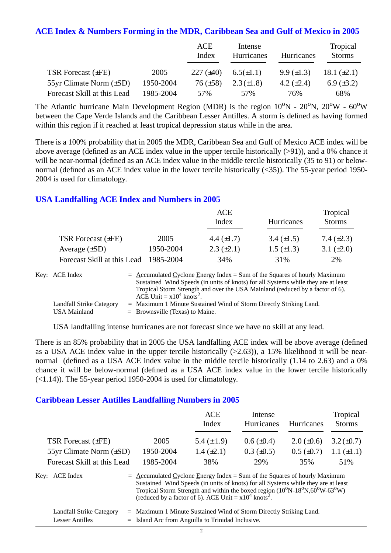### **ACE Index & Numbers Forming in the MDR, Caribbean Sea and Gulf of Mexico in 2005**

|                                |           | ACE<br>Index    | Intense<br>Hurricanes | Hurricanes        | Tropical<br><b>Storms</b> |
|--------------------------------|-----------|-----------------|-----------------------|-------------------|---------------------------|
| <b>TSR Forecast (±FE)</b>      | 2005      | $227 (\pm 40)$  | $6.5(\pm 1.1)$        | $9.9 \ (\pm 1.3)$ | 18.1 $(\pm 2.1)$          |
| $55yr$ Climate Norm $(\pm SD)$ | 1950-2004 | $76 \ (\pm 58)$ | $2.3(\pm 1.8)$        | 4.2 $(\pm 2.4)$   | $6.9 \ (\pm 3.2)$         |
| Forecast Skill at this Lead    | 1985-2004 | 57%             | 57%                   | 76%               | 68%                       |

The Atlantic hurricane Main Development Region (MDR) is the region  $10^{\circ}N - 20^{\circ}N$ ,  $20^{\circ}W - 60^{\circ}W$ between the Cape Verde Islands and the Caribbean Lesser Antilles. A storm is defined as having formed within this region if it reached at least tropical depression status while in the area.

There is a 100% probability that in 2005 the MDR, Caribbean Sea and Gulf of Mexico ACE index will be above average (defined as an ACE index value in the upper tercile historically (>91)), and a 0% chance it will be near-normal (defined as an ACE index value in the middle tercile historically (35 to 91) or belownormal (defined as an ACE index value in the lower tercile historically (<35)). The 55-year period 1950- 2004 is used for climatology.

### **USA Landfalling ACE Index and Numbers in 2005**

|                             |           | ACE<br>Index      | <b>Hurricanes</b> | Tropical<br><b>Storms</b> |
|-----------------------------|-----------|-------------------|-------------------|---------------------------|
| TSR Forecast $(\pm FE)$     | 2005      | 4.4 $(\pm 1.7)$   | 3.4 $(\pm 1.5)$   | 7.4 $(\pm 2.3)$           |
| Average $(\pm SD)$          | 1950-2004 | $2.3 \ (\pm 2.1)$ | $1.5 \ (\pm 1.3)$ | 3.1 $(\pm 2.0)$           |
| Forecast Skill at this Lead | 1985-2004 | 34%               | 31%               | 2%                        |

| Key: ACE Index           | $=$ Accumulated Cyclone Energy Index $=$ Sum of the Squares of hourly Maximum     |
|--------------------------|-----------------------------------------------------------------------------------|
|                          | Sustained Wind Speeds (in units of knots) for all Systems while they are at least |
|                          | Tropical Storm Strength and over the USA Mainland (reduced by a factor of 6).     |
|                          | ACE Unit = $x10^4$ knots <sup>2</sup> .                                           |
| Landfall Strike Category | $=$ Maximum 1 Minute Sustained Wind of Storm Directly Striking Land.              |
| USA Mainland             | $=$ Brownsville (Texas) to Maine.                                                 |

USA landfalling intense hurricanes are not forecast since we have no skill at any lead.

There is an 85% probability that in 2005 the USA landfalling ACE index will be above average (defined as a USA ACE index value in the upper tercile historically (>2.63)), a 15% likelihood it will be nearnormal (defined as a USA ACE index value in the middle tercile historically (1.14 to 2.63) and a 0% chance it will be below-normal (defined as a USA ACE index value in the lower tercile historically  $(\leq 1.14)$ ). The 55-year period 1950-2004 is used for climatology.

### **Caribbean Lesser Antilles Landfalling Numbers in 2005**

|                              |                                                                             | <b>ACE</b><br>Index | Intense<br>Hurricanes | Hurricanes        | Tropical<br><b>Storms</b> |
|------------------------------|-----------------------------------------------------------------------------|---------------------|-----------------------|-------------------|---------------------------|
| <b>TSR Forecast (±FE)</b>    | 2005                                                                        | 5.4 $(\pm 1.9)$     | $0.6 (\pm 0.4)$       | $2.0 \ (\pm 0.6)$ | $3.2(\pm 0.7)$            |
| 55yr Climate Norm $(\pm SD)$ | 1950-2004                                                                   | $1.4 (\pm 2.1)$     | $0.3 \ (\pm 0.5)$     | $0.5 \ (\pm 0.7)$ | $1.1 (\pm 1.1)$           |
| Forecast Skill at this Lead  | 1985-2004                                                                   | 38%                 | 29%                   | 35%               | 51%                       |
| Key: ACE Index               | $=$ Accumulated Cyclone Energy Index = Sum of the Squares of hourly Maximum |                     |                       |                   |                           |

|                          | Sustained Wind Speeds (in units of knots) for all Systems while they are at least<br>Tropical Storm Strength and within the boxed region $(10^{\circ}N - 18^{\circ}N, 60^{\circ}W - 63^{\circ}W)$<br>(reduced by a factor of 6). ACE Unit = $x10^4$ knots <sup>2</sup> . |
|--------------------------|--------------------------------------------------------------------------------------------------------------------------------------------------------------------------------------------------------------------------------------------------------------------------|
| Landfall Strike Category | $=$ Maximum 1 Minute Sustained Wind of Storm Directly Striking Land.                                                                                                                                                                                                     |

| Lesser Antilles |  | $=$ Island Arc from Anguilla to Trinidad Inclusive. |  |
|-----------------|--|-----------------------------------------------------|--|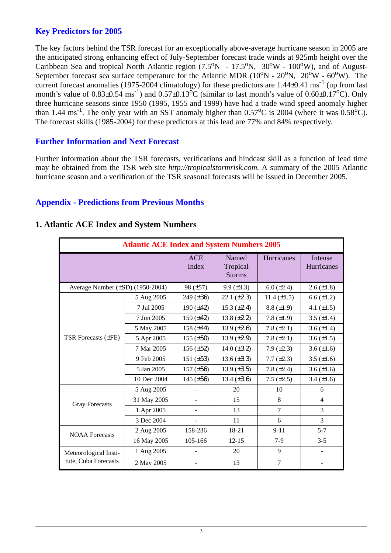## **Key Predictors for 2005**

The key factors behind the TSR forecast for an exceptionally above-average hurricane season in 2005 are the anticipated strong enhancing effect of July-September forecast trade winds at 925mb height over the Caribbean Sea and tropical North Atlantic region  $(7.5^{\circ}N - 17.5^{\circ}N, 30^{\circ}W - 100^{\circ}W)$ , and of August-September forecast sea surface temperature for the Atlantic MDR  $(10^{\circ}N - 20^{\circ}N, 20^{\circ}W - 60^{\circ}W)$ . The current forecast anomalies (1975-2004 climatology) for these predictors are  $1.44\pm0.41$  ms<sup>-1</sup> (up from last month's value of  $0.83\pm0.54 \text{ ms}^{-1}$ ) and  $0.57\pm0.13\text{°C}$  (similar to last month's value of  $0.60\pm0.17\text{°C}$ ). Only three hurricane seasons since 1950 (1995, 1955 and 1999) have had a trade wind speed anomaly higher than 1.44 ms<sup>-1</sup>. The only year with an SST anomaly higher than  $0.57^{\circ}$ C is 2004 (where it was  $0.58^{\circ}$ C). The forecast skills (1985-2004) for these predictors at this lead are 77% and 84% respectively.

## **Further Information and Next Forecast**

Further information about the TSR forecasts, verifications and hindcast skill as a function of lead time may be obtained from the TSR web site *http://tropicalstormrisk.com.* A summary of the 2005 Atlantic hurricane season and a verification of the TSR seasonal forecasts will be issued in December 2005.

## **Appendix - Predictions from Previous Months**

| <b>Atlantic ACE Index and System Numbers 2005</b> |             |                     |                                    |                  |                       |  |  |
|---------------------------------------------------|-------------|---------------------|------------------------------------|------------------|-----------------------|--|--|
|                                                   |             | <b>ACE</b><br>Index | Named<br>Tropical<br><b>Storms</b> | Hurricanes       | Intense<br>Hurricanes |  |  |
| Average Number (±SD) (1950-2004)                  |             | 98 (±57)            | $9.9 (\pm 3.3)$                    | $6.0 (\pm 2.4)$  | $2.6 (\pm 1.8)$       |  |  |
|                                                   | 5 Aug 2005  | 249 (±36)           | $22.1 (\pm 2.3)$                   | $11.4 (\pm 1.5)$ | $6.6 (\pm 1.2)$       |  |  |
|                                                   | 7 Jul 2005  | 190 $(\pm 42)$      | $15.3 \ (\pm 2.4)$                 | $8.8 (\pm 1.9)$  | 4.1 $(\pm 1.5)$       |  |  |
|                                                   | 7 Jun 2005  | 159 $(\pm 42)$      | 13.8 $(\pm 2.2)$                   | 7.8 $(\pm 1.9)$  | 3.5 $(\pm 1.4)$       |  |  |
|                                                   | 5 May 2005  | 158 $(\pm 44)$      | 13.9 $(\pm 2.6)$                   | 7.8 $(\pm 2.1)$  | 3.6 $(\pm 1.4)$       |  |  |
| <b>TSR Forecasts (±FE)</b>                        | 5 Apr 2005  | 155 $(\pm 50)$      | 13.9 $(\pm 2.9)$                   | 7.8 $(\pm 2.1)$  | $3.6 \, (\pm 1.5)$    |  |  |
|                                                   | 7 Mar 2005  | $156 (\pm 52)$      | 14.0 $(\pm 3.2)$                   | $7.9 (\pm 2.3)$  | $3.6 (\pm 1.6)$       |  |  |
|                                                   | 9 Feb 2005  | 151 $(\pm 53)$      | $13.6 (\pm 3.3)$                   | $7.7 (\pm 2.3)$  | 3.5 $(\pm 1.6)$       |  |  |
|                                                   | 5 Jan 2005  | $157 (\pm 56)$      | $13.9 \ (\pm 3.5)$                 | 7.8 $(\pm 2.4)$  | $3.6 (\pm 1.6)$       |  |  |
|                                                   | 10 Dec 2004 | 145 $(\pm 56)$      | 13.4 $(\pm 3.6)$                   | $7.5 (\pm 2.5)$  | 3.4 $(\pm 1.6)$       |  |  |
|                                                   | 5 Aug 2005  |                     | 20                                 | 10               | 6                     |  |  |
| <b>Gray Forecasts</b>                             | 31 May 2005 |                     | 15                                 | 8                | 4                     |  |  |
|                                                   | 1 Apr 2005  |                     | 13                                 | $\overline{7}$   | 3                     |  |  |
|                                                   | 3 Dec 2004  |                     | 11                                 | 6                | 3                     |  |  |
| <b>NOAA</b> Forecasts                             | 2 Aug 2005  | 158-236             | 18-21                              | $9 - 11$         | $5 - 7$               |  |  |
|                                                   | 16 May 2005 | 105-166             | $12 - 15$                          | $7-9$            | $3 - 5$               |  |  |
| Meteorological Insti-                             | 1 Aug 2005  |                     | 20                                 | 9                |                       |  |  |
| tute, Cuba Forecasts                              | 2 May 2005  |                     | 13                                 | 7                |                       |  |  |

### **1. Atlantic ACE Index and System Numbers**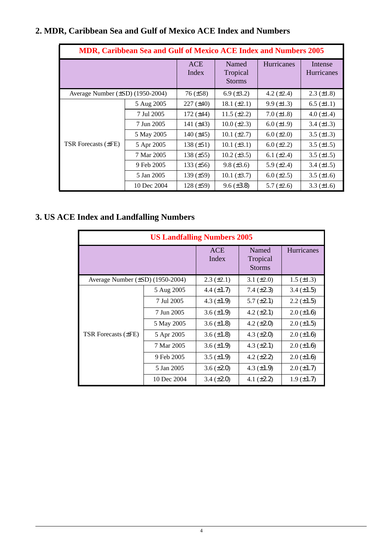| <b>MDR, Caribbean Sea and Gulf of Mexico ACE Index and Numbers 2005</b> |             |                     |                                    |                   |                              |  |
|-------------------------------------------------------------------------|-------------|---------------------|------------------------------------|-------------------|------------------------------|--|
|                                                                         |             | <b>ACE</b><br>Index | Named<br>Tropical<br><b>Storms</b> | <b>Hurricanes</b> | Intense<br><b>Hurricanes</b> |  |
| Average Number $(\pm SD)$ (1950-2004)                                   |             | $76 (\pm 58)$       | 6.9 $(\pm 3.2)$                    | 4.2 $(\pm 2.4)$   | $2.3 \ (\pm 1.8)$            |  |
|                                                                         | 5 Aug 2005  | $227 (\pm 40)$      | 18.1 $(\pm 2.1)$                   | $9.9 \ (\pm 1.3)$ | $6.5 \ (\pm 1.1)$            |  |
|                                                                         | 7 Jul 2005  | 172 $(\pm 44)$      | $11.5 \ (\pm 2.2)$                 | $7.0 (\pm 1.8)$   | 4.0 $(\pm 1.4)$              |  |
|                                                                         | 7 Jun 2005  | 141 $(\pm 43)$      | $10.0 (\pm 2.3)$                   | $6.0 \ (\pm 1.9)$ | $3.4 (\pm 1.3)$              |  |
|                                                                         | 5 May 2005  | 140 $(\pm 45)$      | $10.1 (\pm 2.7)$                   | $6.0 (\pm 2.0)$   | $3.5 (\pm 1.3)$              |  |
| <b>TSR Forecasts (±FE)</b>                                              | 5 Apr 2005  | $138 (\pm 51)$      | $10.1 (\pm 3.1)$                   | $6.0 \ (\pm 2.2)$ | $3.5 (\pm 1.5)$              |  |
|                                                                         | 7 Mar 2005  | 138 $(\pm 55)$      | $10.2 (\pm 3.5)$                   | 6.1 $(\pm 2.4)$   | $3.5 \ (\pm 1.5)$            |  |
|                                                                         | 9 Feb 2005  | 133 $(\pm 56)$      | $9.8 (\pm 3.6)$                    | 5.9 $(\pm 2.4)$   | 3.4 $(\pm 1.5)$              |  |
|                                                                         | 5 Jan 2005  | 139 $(\pm 59)$      | $10.1 (\pm 3.7)$                   | $6.0 \ (\pm 2.5)$ | $3.5 (\pm 1.6)$              |  |
|                                                                         | 10 Dec 2004 | 128 $(\pm 59)$      | $9.6 (\pm 3.8)$                    | 5.7 $(\pm 2.6)$   | 3.3 $(\pm 1.6)$              |  |

# **2. MDR, Caribbean Sea and Gulf of Mexico ACE Index and Numbers**

# **3. US ACE Index and Landfalling Numbers**

| <b>US Landfalling Numbers 2005</b> |                     |                                    |                   |                   |  |  |
|------------------------------------|---------------------|------------------------------------|-------------------|-------------------|--|--|
|                                    | <b>ACE</b><br>Index | Named<br>Tropical<br><b>Storms</b> | Hurricanes        |                   |  |  |
| Average Number (±SD) (1950-2004)   |                     | $2.3 \ (\pm 2.1)$                  | 3.1 $(\pm 2.0)$   | $1.5 \ (\pm 1.3)$ |  |  |
|                                    | 5 Aug 2005          | 4.4 $(\pm 1.7)$                    | 7.4 $(\pm 2.3)$   | $3.4 (\pm 1.5)$   |  |  |
|                                    | 7 Jul 2005          | 4.3 $(\pm 1.9)$                    | $5.7 \ (\pm 2.1)$ | $2.2 \ (\pm 1.5)$ |  |  |
|                                    | 7 Jun 2005          | $3.6 \, (\pm 1.9)$                 | 4.2 $(\pm 2.1)$   | $2.0 \ (\pm 1.6)$ |  |  |
|                                    | 5 May 2005          | $3.6 \, (\pm 1.8)$                 | 4.2 $(\pm 2.0)$   | $2.0 \ (\pm 1.5)$ |  |  |
| TSR Forecasts $(\pm FE)$           | 5 Apr 2005          | $3.6 \, (\pm 1.8)$                 | 4.3 $(\pm 2.0)$   | $2.0 \ (\pm 1.6)$ |  |  |
|                                    | 7 Mar 2005          | $3.6 \ (\pm 1.9)$                  | 4.3 $(\pm 2.1)$   | $2.0 \ (\pm 1.6)$ |  |  |
|                                    | 9 Feb 2005          | $3.5 \ (\pm 1.9)$                  | 4.2 $(\pm 2.2)$   | $2.0 \ (\pm 1.6)$ |  |  |
|                                    | 5 Jan 2005          | $3.6 \, (\pm 2.0)$                 | 4.3 $(\pm 1.9)$   | $2.0 \ (\pm 1.7)$ |  |  |
|                                    | 10 Dec 2004         | $3.4 \ (\pm 2.0)$                  | 4.1 $(\pm 2.2)$   | $1.9 \ (\pm 1.7)$ |  |  |